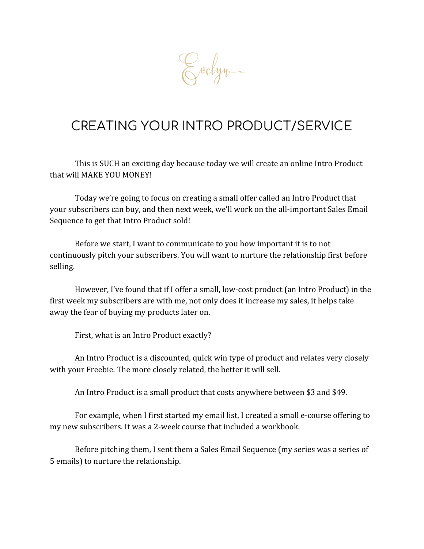Evelyn.

# CREATING YOUR INTRO PRODUCT/SERVICE

This is SUCH an exciting day because today we will create an online Intro Product that will MAKE YOU MONEY!

Today we're going to focus on creating a small offer called an Intro Product that your subscribers can buy, and then next week, we'll work on the all-important Sales Email Sequence to get that Intro Product sold!

Before we start, I want to communicate to you how important it is to not continuously pitch your subscribers. You will want to nurture the relationship first before selling.

However, I've found that if I offer a small, low-cost product (an Intro Product) in the first week my subscribers are with me, not only does it increase my sales, it helps take away the fear of buying my products later on.

First, what is an Intro Product exactly?

An Intro Product is a discounted, quick win type of product and relates very closely with your Freebie. The more closely related, the better it will sell.

An Intro Product is a small product that costs anywhere between \$3 and \$49.

For example, when I first started my email list, I created a small e-course offering to my new subscribers. It was a 2-week course that included a workbook.

Before pitching them, I sent them a Sales Email Sequence (my series was a series of 5 emails) to nurture the relationship.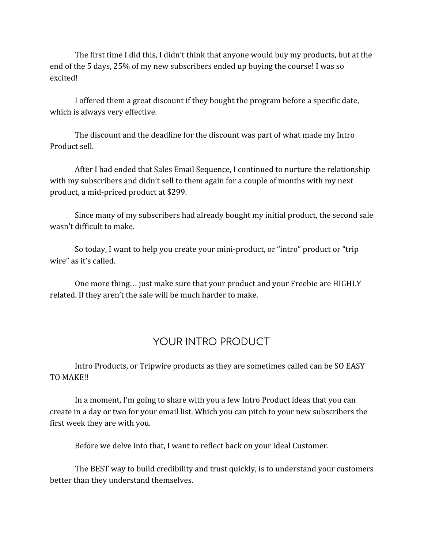The first time I did this, I didn't think that anyone would buy my products, but at the end of the 5 days, 25% of my new subscribers ended up buying the course! I was so excited!

I offered them a great discount if they bought the program before a specific date, which is always very effective.

The discount and the deadline for the discount was part of what made my Intro Product sell.

After I had ended that Sales Email Sequence, I continued to nurture the relationship with my subscribers and didn't sell to them again for a couple of months with my next product, a mid-priced product at \$299.

Since many of my subscribers had already bought my initial product, the second sale wasn't difficult to make.

So today, I want to help you create your mini-product, or "intro" product or "trip wire" as it's called.

One more thing… just make sure that your product and your Freebie are HIGHLY related. If they aren't the sale will be much harder to make.

## YOUR INTRO PRODUCT

Intro Products, or Tripwire products as they are sometimes called can be SO EASY TO MAKE!!

In a moment, I'm going to share with you a few Intro Product ideas that you can create in a day or two for your email list. Which you can pitch to your new subscribers the first week they are with you.

Before we delve into that, I want to reflect back on your Ideal Customer.

The BEST way to build credibility and trust quickly, is to understand your customers better than they understand themselves.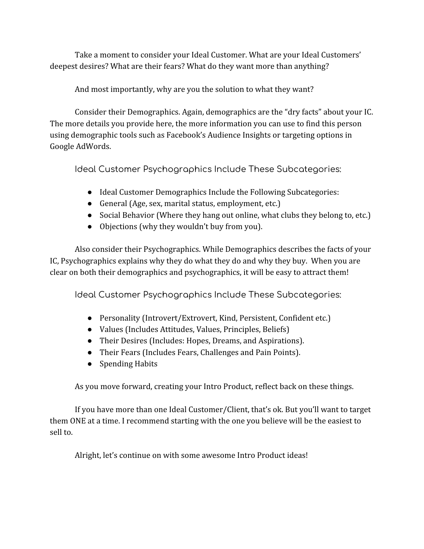Take a moment to consider your Ideal Customer. What are your Ideal Customers' deepest desires? What are their fears? What do they want more than anything?

And most importantly, why are you the solution to what they want?

Consider their Demographics. Again, demographics are the "dry facts" about your IC. The more details you provide here, the more information you can use to find this person using demographic tools such as Facebook's Audience Insights or targeting options in Google AdWords.

Ideal Customer Psychographics Include These Subcategories:

- Ideal Customer Demographics Include the Following Subcategories:
- General (Age, sex, marital status, employment, etc.)
- Social Behavior (Where they hang out online, what clubs they belong to, etc.)
- Objections (why they wouldn't buy from you).

Also consider their Psychographics. While Demographics describes the facts of your IC, Psychographics explains why they do what they do and why they buy. When you are clear on both their demographics and psychographics, it will be easy to attract them!

Ideal Customer Psychographics Include These Subcategories:

- Personality (Introvert/Extrovert, Kind, Persistent, Confident etc.)
- Values (Includes Attitudes, Values, Principles, Beliefs)
- Their Desires (Includes: Hopes, Dreams, and Aspirations).
- Their Fears (Includes Fears, Challenges and Pain Points).
- Spending Habits

As you move forward, creating your Intro Product, reflect back on these things.

If you have more than one Ideal Customer/Client, that's ok. But you'll want to target them ONE at a time. I recommend starting with the one you believe will be the easiest to sell to.

Alright, let's continue on with some awesome Intro Product ideas!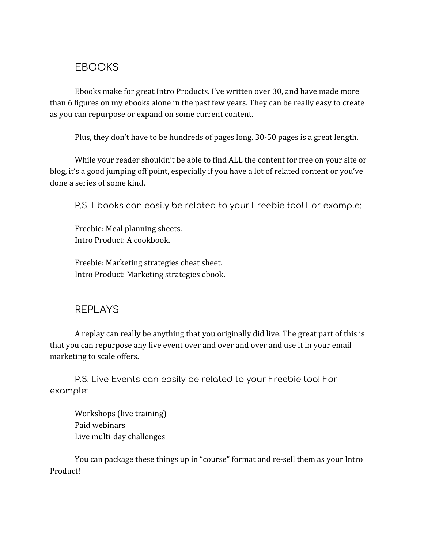#### EBOOKS

Ebooks make for great Intro Products. I've written over 30, and have made more than 6 figures on my ebooks alone in the past few years. They can be really easy to create as you can repurpose or expand on some current content.

Plus, they don't have to be hundreds of pages long. 30-50 pages is a great length.

While your reader shouldn't be able to find ALL the content for free on your site or blog, it's a good jumping off point, especially if you have a lot of related content or you've done a series of some kind.

P.S. Ebooks can easily be related to your Freebie too! For example:

Freebie: Meal planning sheets. Intro Product: A cookbook.

Freebie: Marketing strategies cheat sheet. Intro Product: Marketing strategies ebook.

#### REPLAYS

A replay can really be anything that you originally did live. The great part of this is that you can repurpose any live event over and over and over and use it in your email marketing to scale offers.

P.S. Live Events can easily be related to your Freebie too! For example:

Workshops (live training) Paid webinars Live multi-day challenges

You can package these things up in "course" format and re-sell them as your Intro Product!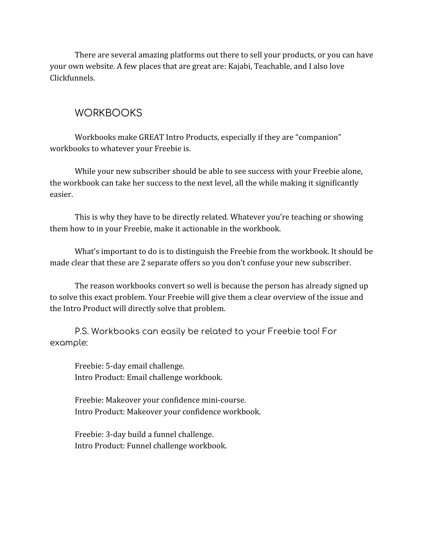There are several amazing platforms out there to sell your products, or you can have your own website. A few places that are great are: Kajabi, Teachable, and I also love Clickfunnels.

#### **WORKBOOKS**

Workbooks make GREAT Intro Products, especially if they are "companion" workbooks to whatever your Freebie is.

While your new subscriber should be able to see success with your Freebie alone, the workbook can take her success to the next level, all the while making it significantly easier.

This is why they have to be directly related. Whatever you're teaching or showing them how to in your Freebie, make it actionable in the workbook.

What's important to do is to distinguish the Freebie from the workbook. It should be made clear that these are 2 separate offers so you don't confuse your new subscriber.

The reason workbooks convert so well is because the person has already signed up to solve this exact problem. Your Freebie will give them a clear overview of the issue and the Intro Product will directly solve that problem.

P.S. Workbooks can easily be related to your Freebie too! For example:

Freebie: 5-day email challenge. Intro Product: Email challenge workbook.

Freebie: Makeover your confidence mini-course. Intro Product: Makeover your confidence workbook.

Freebie: 3-day build a funnel challenge. Intro Product: Funnel challenge workbook.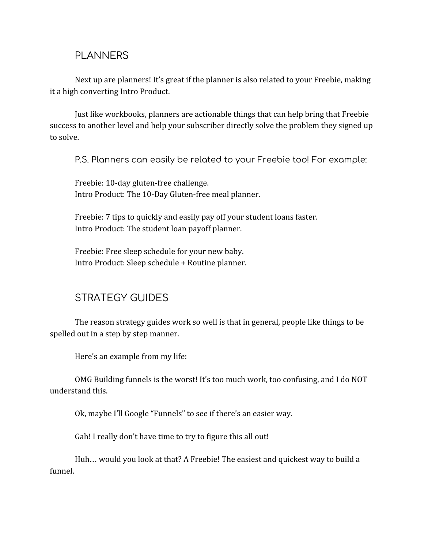#### PLANNERS

Next up are planners! It's great if the planner is also related to your Freebie, making it a high converting Intro Product.

Just like workbooks, planners are actionable things that can help bring that Freebie success to another level and help your subscriber directly solve the problem they signed up to solve.

P.S. Planners can easily be related to your Freebie too! For example:

Freebie: 10-day gluten-free challenge. Intro Product: The 10-Day Gluten-free meal planner.

Freebie: 7 tips to quickly and easily pay off your student loans faster. Intro Product: The student loan payoff planner.

Freebie: Free sleep schedule for your new baby. Intro Product: Sleep schedule + Routine planner.

## STRATEGY GUIDES

The reason strategy guides work so well is that in general, people like things to be spelled out in a step by step manner.

Here's an example from my life:

OMG Building funnels is the worst! It's too much work, too confusing, and I do NOT understand this.

Ok, maybe I'll Google "Funnels" to see if there's an easier way.

Gah! I really don't have time to try to figure this all out!

Huh… would you look at that? A Freebie! The easiest and quickest way to build a funnel.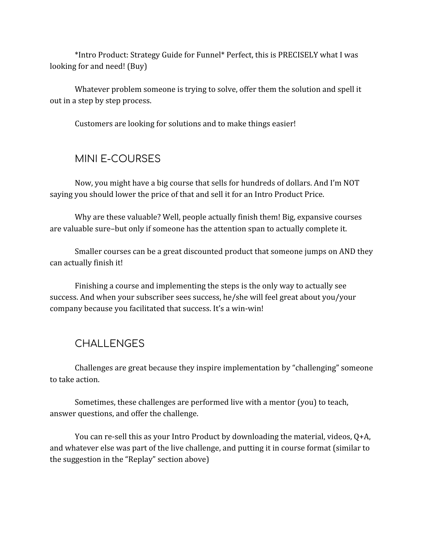\*Intro Product: Strategy Guide for Funnel\* Perfect, this is PRECISELY what I was looking for and need! (Buy)

Whatever problem someone is trying to solve, offer them the solution and spell it out in a step by step process.

Customers are looking for solutions and to make things easier!

#### MINI E-COURSES

Now, you might have a big course that sells for hundreds of dollars. And I'm NOT saying you should lower the price of that and sell it for an Intro Product Price.

Why are these valuable? Well, people actually finish them! Big, expansive courses are valuable sure–but only if someone has the attention span to actually complete it.

Smaller courses can be a great discounted product that someone jumps on AND they can actually finish it!

Finishing a course and implementing the steps is the only way to actually see success. And when your subscriber sees success, he/she will feel great about you/your company because you facilitated that success. It's a win-win!

#### **CHALLENGES**

Challenges are great because they inspire implementation by "challenging" someone to take action.

Sometimes, these challenges are performed live with a mentor (you) to teach, answer questions, and offer the challenge.

You can re-sell this as your Intro Product by downloading the material, videos, Q+A, and whatever else was part of the live challenge, and putting it in course format (similar to the suggestion in the "Replay" section above)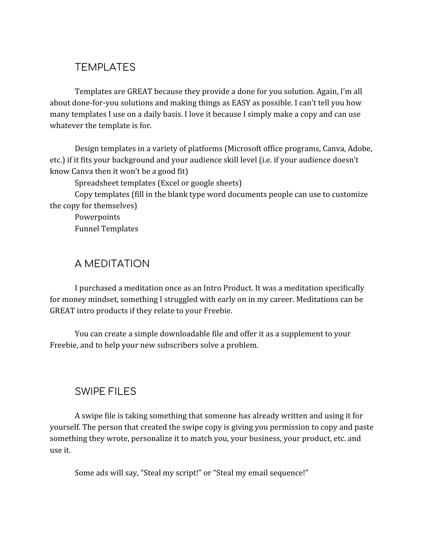## **TEMPLATES**

Templates are GREAT because they provide a done for you solution. Again, I'm all about done-for-you solutions and making things as EASY as possible. I can't tell you how many templates I use on a daily basis. I love it because I simply make a copy and can use whatever the template is for.

Design templates in a variety of platforms (Microsoft office programs, Canva, Adobe, etc.) if it fits your background and your audience skill level (i.e. if your audience doesn't know Canva then it won't be a good fit)

Spreadsheet templates (Excel or google sheets)

Copy templates (fill in the blank type word documents people can use to customize the copy for themselves)

Powerpoints Funnel Templates

## A MEDITATION

I purchased a meditation once as an Intro Product. It was a meditation specifically for money mindset, something I struggled with early on in my career. Meditations can be GREAT intro products if they relate to your Freebie.

You can create a simple downloadable file and offer it as a supplement to your Freebie, and to help your new subscribers solve a problem.

## SWIPE FILES

A swipe file is taking something that someone has already written and using it for yourself. The person that created the swipe copy is giving you permission to copy and paste something they wrote, personalize it to match you, your business, your product, etc. and use it.

Some ads will say, "Steal my script!" or "Steal my email sequence!"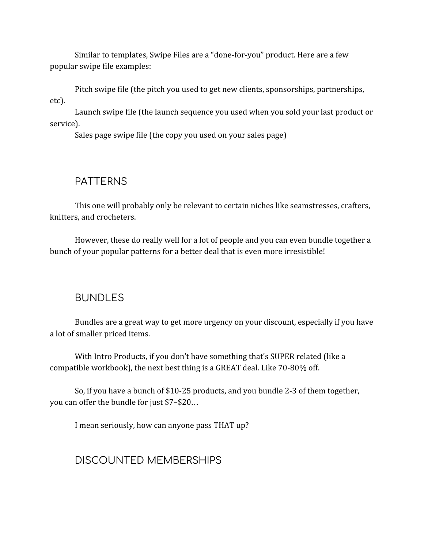Similar to templates, Swipe Files are a "done-for-you" product. Here are a few popular swipe file examples:

Pitch swipe file (the pitch you used to get new clients, sponsorships, partnerships, etc).

Launch swipe file (the launch sequence you used when you sold your last product or service).

Sales page swipe file (the copy you used on your sales page)

#### PATTERNS

This one will probably only be relevant to certain niches like seamstresses, crafters, knitters, and crocheters.

However, these do really well for a lot of people and you can even bundle together a bunch of your popular patterns for a better deal that is even more irresistible!

#### BUNDLES

Bundles are a great way to get more urgency on your discount, especially if you have a lot of smaller priced items.

With Intro Products, if you don't have something that's SUPER related (like a compatible workbook), the next best thing is a GREAT deal. Like 70-80% off.

So, if you have a bunch of \$10-25 products, and you bundle 2-3 of them together, you can offer the bundle for just \$7–\$20…

I mean seriously, how can anyone pass THAT up?

#### DISCOUNTED MEMBERSHIPS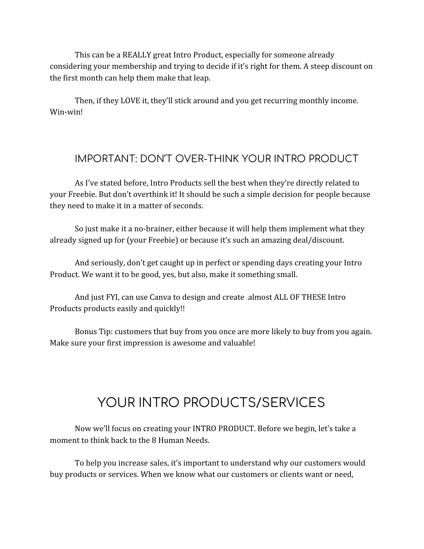This can be a REALLY great Intro Product, especially for someone already considering your membership and trying to decide if it's right for them. A steep discount on the first month can help them make that leap.

Then, if they LOVE it, they'll stick around and you get recurring monthly income. Win-win!

#### IMPORTANT: DON'T OVER-THINK YOUR INTRO PRODUCT

As I've stated before, Intro Products sell the best when they're directly related to your Freebie. But don't overthink it! It should be such a simple decision for people because they need to make it in a matter of seconds.

So just make it a no-brainer, either because it will help them implement what they already signed up for (your Freebie) or because it's such an amazing deal/discount.

And seriously, don't get caught up in perfect or spending days creating your Intro Product. We want it to be good, yes, but also, make it something small.

And just FYI, can use Canva to design and create almost ALL OF THESE Intro Products products easily and quickly!!

Bonus Tip: customers that buy from you once are more likely to buy from you again. Make sure your first impression is awesome and valuable!

# YOUR INTRO PRODUCTS/SERVICES

Now we'll focus on creating your INTRO PRODUCT. Before we begin, let's take a moment to think back to the 8 Human Needs.

To help you increase sales, it's important to understand why our customers would buy products or services. When we know what our customers or clients want or need,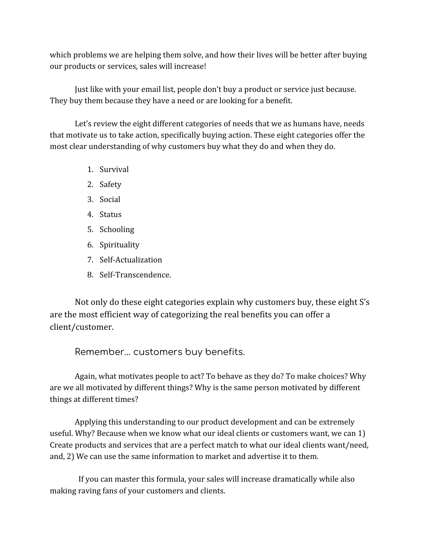which problems we are helping them solve, and how their lives will be better after buying our products or services, sales will increase!

Just like with your email list, people don't buy a product or service just because. They buy them because they have a need or are looking for a benefit.

Let's review the eight different categories of needs that we as humans have, needs that motivate us to take action, specifically buying action. These eight categories offer the most clear understanding of why customers buy what they do and when they do.

- 1. Survival
- 2. Safety
- 3. Social
- 4. Status
- 5. Schooling
- 6. Spirituality
- 7. Self-Actualization
- 8. Self-Transcendence.

Not only do these eight categories explain why customers buy, these eight S's are the most efficient way of categorizing the real benefits you can offer a client/customer.

Remember… customers buy benefits.

Again, what motivates people to act? To behave as they do? To make choices? Why are we all motivated by different things? Why is the same person motivated by different things at different times?

Applying this understanding to our product development and can be extremely useful. Why? Because when we know what our ideal clients or customers want, we can 1) Create products and services that are a perfect match to what our ideal clients want/need, and, 2) We can use the same information to market and advertise it to them.

 If you can master this formula, your sales will increase dramatically while also making raving fans of your customers and clients.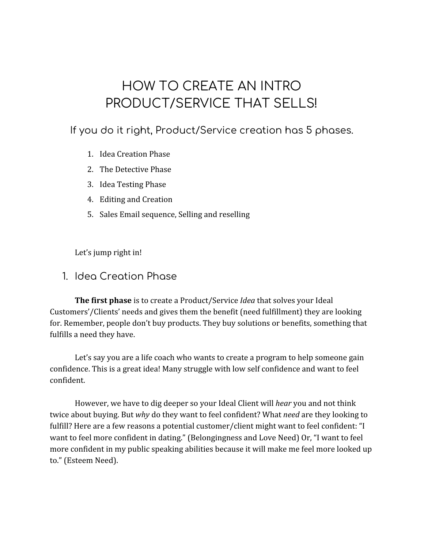# HOW TO CREATE AN INTRO PRODUCT/SERVICE THAT SELLS!

#### If you do it right, Product/Service creation has 5 phases.

- 1. Idea Creation Phase
- 2. The Detective Phase
- 3. Idea Testing Phase
- 4. Editing and Creation
- 5. Sales Email sequence, Selling and reselling

Let's jump right in!

#### 1. Idea Creation Phase

**The first phase** is to create a Product/Service *Idea* that solves your Ideal Customers'/Clients' needs and gives them the benefit (need fulfillment) they are looking for. Remember, people don't buy products. They buy solutions or benefits, something that fulfills a need they have.

Let's say you are a life coach who wants to create a program to help someone gain confidence. This is a great idea! Many struggle with low self confidence and want to feel confident.

However, we have to dig deeper so your Ideal Client will *hear* you and not think twice about buying. But *why* do they want to feel confident? What *need* are they looking to fulfill? Here are a few reasons a potential customer/client might want to feel confident: "I want to feel more confident in dating." (Belongingness and Love Need) Or, "I want to feel more confident in my public speaking abilities because it will make me feel more looked up to." (Esteem Need).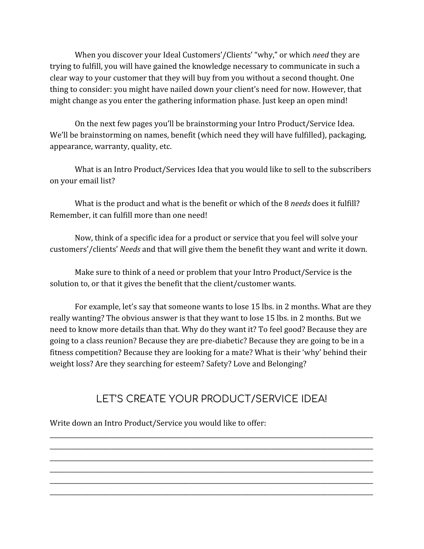When you discover your Ideal Customers'/Clients' "why," or which *need* they are trying to fulfill, you will have gained the knowledge necessary to communicate in such a clear way to your customer that they will buy from you without a second thought. One thing to consider: you might have nailed down your client's need for now. However, that might change as you enter the gathering information phase. Just keep an open mind!

On the next few pages you'll be brainstorming your Intro Product/Service Idea. We'll be brainstorming on names, benefit (which need they will have fulfilled), packaging, appearance, warranty, quality, etc.

What is an Intro Product/Services Idea that you would like to sell to the subscribers on your email list?

What is the product and what is the benefit or which of the 8 *needs* does it fulfill? Remember, it can fulfill more than one need!

Now, think of a specific idea for a product or service that you feel will solve your customers'/clients' *Needs* and that will give them the benefit they want and write it down.

Make sure to think of a need or problem that your Intro Product/Service is the solution to, or that it gives the benefit that the client/customer wants.

For example, let's say that someone wants to lose 15 lbs. in 2 months. What are they really wanting? The obvious answer is that they want to lose 15 lbs. in 2 months. But we need to know more details than that. Why do they want it? To feel good? Because they are going to a class reunion? Because they are pre-diabetic? Because they are going to be in a fitness competition? Because they are looking for a mate? What is their 'why' behind their weight loss? Are they searching for esteem? Safety? Love and Belonging?

## LET'S CREATE YOUR PRODUCT/SERVICE IDEA!

\_\_\_\_\_\_\_\_\_\_\_\_\_\_\_\_\_\_\_\_\_\_\_\_\_\_\_\_\_\_\_\_\_\_\_\_\_\_\_\_\_\_\_\_\_\_\_\_\_\_\_\_\_\_\_\_\_\_\_\_\_\_\_\_\_\_\_\_\_\_\_\_\_\_\_\_\_\_\_\_\_\_\_\_\_\_\_\_\_\_\_\_\_\_\_\_\_\_\_\_\_\_\_\_\_ \_\_\_\_\_\_\_\_\_\_\_\_\_\_\_\_\_\_\_\_\_\_\_\_\_\_\_\_\_\_\_\_\_\_\_\_\_\_\_\_\_\_\_\_\_\_\_\_\_\_\_\_\_\_\_\_\_\_\_\_\_\_\_\_\_\_\_\_\_\_\_\_\_\_\_\_\_\_\_\_\_\_\_\_\_\_\_\_\_\_\_\_\_\_\_\_\_\_\_\_\_\_\_\_\_ \_\_\_\_\_\_\_\_\_\_\_\_\_\_\_\_\_\_\_\_\_\_\_\_\_\_\_\_\_\_\_\_\_\_\_\_\_\_\_\_\_\_\_\_\_\_\_\_\_\_\_\_\_\_\_\_\_\_\_\_\_\_\_\_\_\_\_\_\_\_\_\_\_\_\_\_\_\_\_\_\_\_\_\_\_\_\_\_\_\_\_\_\_\_\_\_\_\_\_\_\_\_\_\_\_ \_\_\_\_\_\_\_\_\_\_\_\_\_\_\_\_\_\_\_\_\_\_\_\_\_\_\_\_\_\_\_\_\_\_\_\_\_\_\_\_\_\_\_\_\_\_\_\_\_\_\_\_\_\_\_\_\_\_\_\_\_\_\_\_\_\_\_\_\_\_\_\_\_\_\_\_\_\_\_\_\_\_\_\_\_\_\_\_\_\_\_\_\_\_\_\_\_\_\_\_\_\_\_\_\_ \_\_\_\_\_\_\_\_\_\_\_\_\_\_\_\_\_\_\_\_\_\_\_\_\_\_\_\_\_\_\_\_\_\_\_\_\_\_\_\_\_\_\_\_\_\_\_\_\_\_\_\_\_\_\_\_\_\_\_\_\_\_\_\_\_\_\_\_\_\_\_\_\_\_\_\_\_\_\_\_\_\_\_\_\_\_\_\_\_\_\_\_\_\_\_\_\_\_\_\_\_\_\_\_\_ \_\_\_\_\_\_\_\_\_\_\_\_\_\_\_\_\_\_\_\_\_\_\_\_\_\_\_\_\_\_\_\_\_\_\_\_\_\_\_\_\_\_\_\_\_\_\_\_\_\_\_\_\_\_\_\_\_\_\_\_\_\_\_\_\_\_\_\_\_\_\_\_\_\_\_\_\_\_\_\_\_\_\_\_\_\_\_\_\_\_\_\_\_\_\_\_\_\_\_\_\_\_\_\_\_

Write down an Intro Product/Service you would like to offer: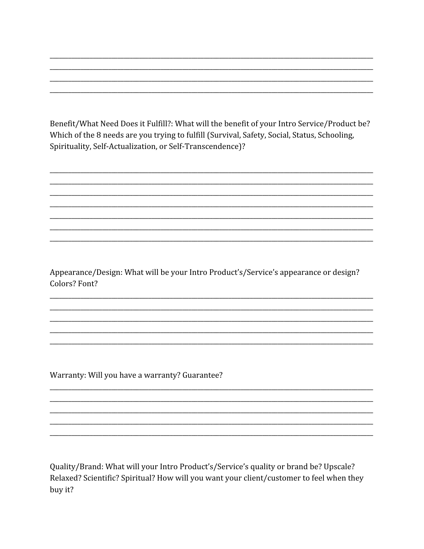Benefit/What Need Does it Fulfill?: What will the benefit of your Intro Service/Product be? Which of the 8 needs are you trying to fulfill (Survival, Safety, Social, Status, Schooling, Spirituality, Self-Actualization, or Self-Transcendence)?

Appearance/Design: What will be your Intro Product's/Service's appearance or design? Colors? Font?

Warranty: Will you have a warranty? Guarantee?

Quality/Brand: What will your Intro Product's/Service's quality or brand be? Upscale? Relaxed? Scientific? Spiritual? How will you want your client/customer to feel when they buy it?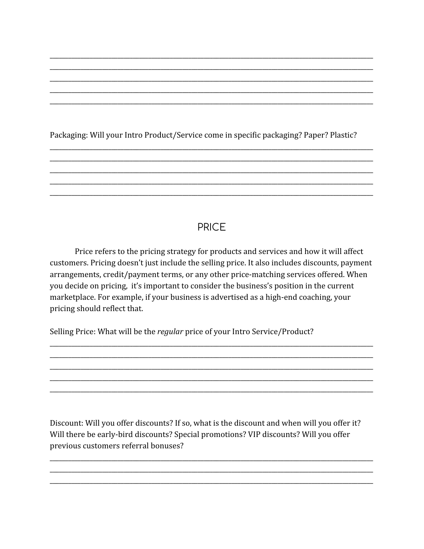Packaging: Will your Intro Product/Service come in specific packaging? Paper? Plastic?

## **PRICE**

Price refers to the pricing strategy for products and services and how it will affect customers. Pricing doesn't just include the selling price. It also includes discounts, payment arrangements, credit/payment terms, or any other price-matching services offered. When you decide on pricing, it's important to consider the business's position in the current marketplace. For example, if your business is advertised as a high-end coaching, your pricing should reflect that.

Selling Price: What will be the regular price of your Intro Service/Product?

Discount: Will you offer discounts? If so, what is the discount and when will you offer it? Will there be early-bird discounts? Special promotions? VIP discounts? Will you offer previous customers referral bonuses?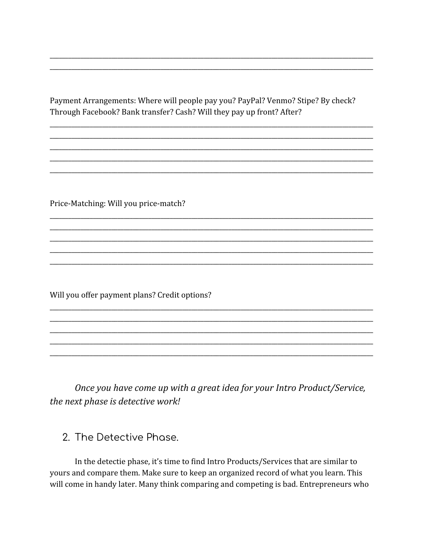Payment Arrangements: Where will people pay you? PayPal? Venmo? Stipe? By check? Through Facebook? Bank transfer? Cash? Will they pay up front? After?

Price-Matching: Will you price-match?

Will you offer payment plans? Credit options?

Once you have come up with a great idea for your Intro Product/Service, the next phase is detective work!

#### 2. The Detective Phase.

In the detectie phase, it's time to find Intro Products/Services that are similar to yours and compare them. Make sure to keep an organized record of what you learn. This will come in handy later. Many think comparing and competing is bad. Entrepreneurs who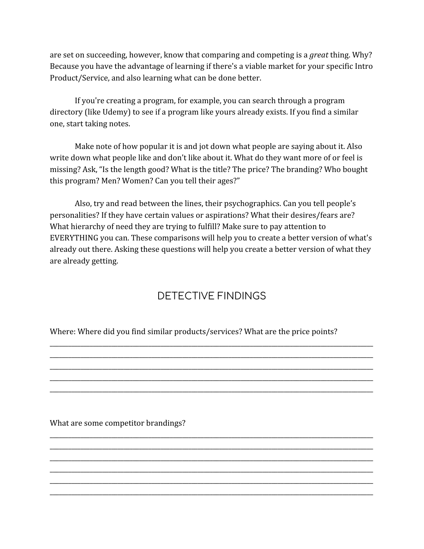are set on succeeding, however, know that comparing and competing is a *great* thing. Why? Because you have the advantage of learning if there's a viable market for your specific Intro Product/Service, and also learning what can be done better.

If you're creating a program, for example, you can search through a program directory (like Udemy) to see if a program like yours already exists. If you find a similar one, start taking notes.

Make note of how popular it is and jot down what people are saying about it. Also write down what people like and don't like about it. What do they want more of or feel is missing? Ask, "Is the length good? What is the title? The price? The branding? Who bought this program? Men? Women? Can you tell their ages?"

Also, try and read between the lines, their psychographics. Can you tell people's personalities? If they have certain values or aspirations? What their desires/fears are? What hierarchy of need they are trying to fulfill? Make sure to pay attention to EVERYTHING you can. These comparisons will help you to create a better version of what's already out there. Asking these questions will help you create a better version of what they are already getting.

## DETECTIVE FINDINGS

\_\_\_\_\_\_\_\_\_\_\_\_\_\_\_\_\_\_\_\_\_\_\_\_\_\_\_\_\_\_\_\_\_\_\_\_\_\_\_\_\_\_\_\_\_\_\_\_\_\_\_\_\_\_\_\_\_\_\_\_\_\_\_\_\_\_\_\_\_\_\_\_\_\_\_\_\_\_\_\_\_\_\_\_\_\_\_\_\_\_\_\_\_\_\_\_\_\_\_\_\_\_\_\_\_ \_\_\_\_\_\_\_\_\_\_\_\_\_\_\_\_\_\_\_\_\_\_\_\_\_\_\_\_\_\_\_\_\_\_\_\_\_\_\_\_\_\_\_\_\_\_\_\_\_\_\_\_\_\_\_\_\_\_\_\_\_\_\_\_\_\_\_\_\_\_\_\_\_\_\_\_\_\_\_\_\_\_\_\_\_\_\_\_\_\_\_\_\_\_\_\_\_\_\_\_\_\_\_\_\_ \_\_\_\_\_\_\_\_\_\_\_\_\_\_\_\_\_\_\_\_\_\_\_\_\_\_\_\_\_\_\_\_\_\_\_\_\_\_\_\_\_\_\_\_\_\_\_\_\_\_\_\_\_\_\_\_\_\_\_\_\_\_\_\_\_\_\_\_\_\_\_\_\_\_\_\_\_\_\_\_\_\_\_\_\_\_\_\_\_\_\_\_\_\_\_\_\_\_\_\_\_\_\_\_\_ \_\_\_\_\_\_\_\_\_\_\_\_\_\_\_\_\_\_\_\_\_\_\_\_\_\_\_\_\_\_\_\_\_\_\_\_\_\_\_\_\_\_\_\_\_\_\_\_\_\_\_\_\_\_\_\_\_\_\_\_\_\_\_\_\_\_\_\_\_\_\_\_\_\_\_\_\_\_\_\_\_\_\_\_\_\_\_\_\_\_\_\_\_\_\_\_\_\_\_\_\_\_\_\_\_ \_\_\_\_\_\_\_\_\_\_\_\_\_\_\_\_\_\_\_\_\_\_\_\_\_\_\_\_\_\_\_\_\_\_\_\_\_\_\_\_\_\_\_\_\_\_\_\_\_\_\_\_\_\_\_\_\_\_\_\_\_\_\_\_\_\_\_\_\_\_\_\_\_\_\_\_\_\_\_\_\_\_\_\_\_\_\_\_\_\_\_\_\_\_\_\_\_\_\_\_\_\_\_\_\_

\_\_\_\_\_\_\_\_\_\_\_\_\_\_\_\_\_\_\_\_\_\_\_\_\_\_\_\_\_\_\_\_\_\_\_\_\_\_\_\_\_\_\_\_\_\_\_\_\_\_\_\_\_\_\_\_\_\_\_\_\_\_\_\_\_\_\_\_\_\_\_\_\_\_\_\_\_\_\_\_\_\_\_\_\_\_\_\_\_\_\_\_\_\_\_\_\_\_\_\_\_\_\_\_\_ \_\_\_\_\_\_\_\_\_\_\_\_\_\_\_\_\_\_\_\_\_\_\_\_\_\_\_\_\_\_\_\_\_\_\_\_\_\_\_\_\_\_\_\_\_\_\_\_\_\_\_\_\_\_\_\_\_\_\_\_\_\_\_\_\_\_\_\_\_\_\_\_\_\_\_\_\_\_\_\_\_\_\_\_\_\_\_\_\_\_\_\_\_\_\_\_\_\_\_\_\_\_\_\_\_ \_\_\_\_\_\_\_\_\_\_\_\_\_\_\_\_\_\_\_\_\_\_\_\_\_\_\_\_\_\_\_\_\_\_\_\_\_\_\_\_\_\_\_\_\_\_\_\_\_\_\_\_\_\_\_\_\_\_\_\_\_\_\_\_\_\_\_\_\_\_\_\_\_\_\_\_\_\_\_\_\_\_\_\_\_\_\_\_\_\_\_\_\_\_\_\_\_\_\_\_\_\_\_\_\_ \_\_\_\_\_\_\_\_\_\_\_\_\_\_\_\_\_\_\_\_\_\_\_\_\_\_\_\_\_\_\_\_\_\_\_\_\_\_\_\_\_\_\_\_\_\_\_\_\_\_\_\_\_\_\_\_\_\_\_\_\_\_\_\_\_\_\_\_\_\_\_\_\_\_\_\_\_\_\_\_\_\_\_\_\_\_\_\_\_\_\_\_\_\_\_\_\_\_\_\_\_\_\_\_\_ \_\_\_\_\_\_\_\_\_\_\_\_\_\_\_\_\_\_\_\_\_\_\_\_\_\_\_\_\_\_\_\_\_\_\_\_\_\_\_\_\_\_\_\_\_\_\_\_\_\_\_\_\_\_\_\_\_\_\_\_\_\_\_\_\_\_\_\_\_\_\_\_\_\_\_\_\_\_\_\_\_\_\_\_\_\_\_\_\_\_\_\_\_\_\_\_\_\_\_\_\_\_\_\_\_

Where: Where did you find similar products/services? What are the price points?

What are some competitor brandings?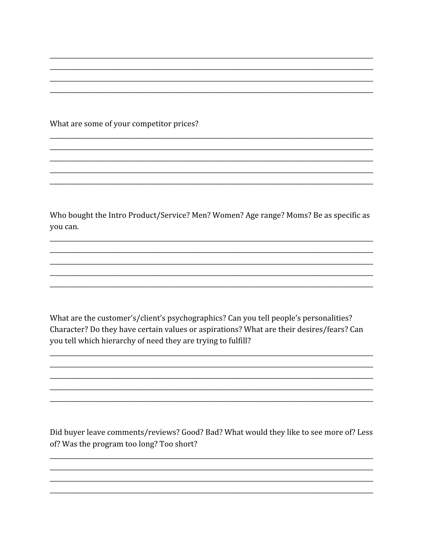What are some of your competitor prices?

Who bought the Intro Product/Service? Men? Women? Age range? Moms? Be as specific as you can.

What are the customer's/client's psychographics? Can you tell people's personalities? Character? Do they have certain values or aspirations? What are their desires/fears? Can you tell which hierarchy of need they are trying to fulfill?

Did buyer leave comments/reviews? Good? Bad? What would they like to see more of? Less of? Was the program too long? Too short?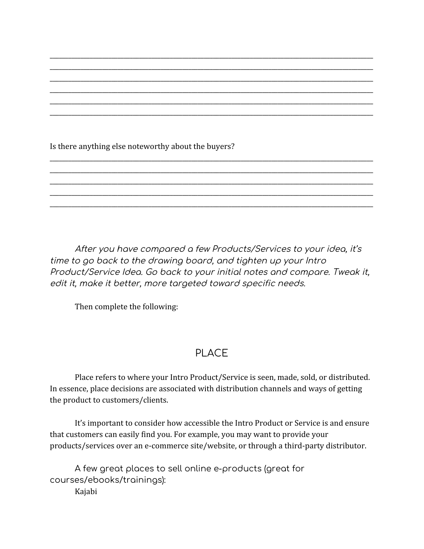Is there anything else noteworthy about the buyers?

After you have compared a few Products/Services to your idea, it's time to go back to the drawing board, and tighten up your Intro Product/Service Idea. Go back to your initial notes and compare. Tweak it, edit it, make it better, more targeted toward specific needs.

\_\_\_\_\_\_\_\_\_\_\_\_\_\_\_\_\_\_\_\_\_\_\_\_\_\_\_\_\_\_\_\_\_\_\_\_\_\_\_\_\_\_\_\_\_\_\_\_\_\_\_\_\_\_\_\_\_\_\_\_\_\_\_\_\_\_\_\_\_\_\_\_\_\_\_\_\_\_\_\_\_\_\_\_\_\_\_\_\_\_\_\_\_\_\_\_\_\_\_\_\_\_\_\_\_ \_\_\_\_\_\_\_\_\_\_\_\_\_\_\_\_\_\_\_\_\_\_\_\_\_\_\_\_\_\_\_\_\_\_\_\_\_\_\_\_\_\_\_\_\_\_\_\_\_\_\_\_\_\_\_\_\_\_\_\_\_\_\_\_\_\_\_\_\_\_\_\_\_\_\_\_\_\_\_\_\_\_\_\_\_\_\_\_\_\_\_\_\_\_\_\_\_\_\_\_\_\_\_\_\_ \_\_\_\_\_\_\_\_\_\_\_\_\_\_\_\_\_\_\_\_\_\_\_\_\_\_\_\_\_\_\_\_\_\_\_\_\_\_\_\_\_\_\_\_\_\_\_\_\_\_\_\_\_\_\_\_\_\_\_\_\_\_\_\_\_\_\_\_\_\_\_\_\_\_\_\_\_\_\_\_\_\_\_\_\_\_\_\_\_\_\_\_\_\_\_\_\_\_\_\_\_\_\_\_\_ \_\_\_\_\_\_\_\_\_\_\_\_\_\_\_\_\_\_\_\_\_\_\_\_\_\_\_\_\_\_\_\_\_\_\_\_\_\_\_\_\_\_\_\_\_\_\_\_\_\_\_\_\_\_\_\_\_\_\_\_\_\_\_\_\_\_\_\_\_\_\_\_\_\_\_\_\_\_\_\_\_\_\_\_\_\_\_\_\_\_\_\_\_\_\_\_\_\_\_\_\_\_\_\_\_ \_\_\_\_\_\_\_\_\_\_\_\_\_\_\_\_\_\_\_\_\_\_\_\_\_\_\_\_\_\_\_\_\_\_\_\_\_\_\_\_\_\_\_\_\_\_\_\_\_\_\_\_\_\_\_\_\_\_\_\_\_\_\_\_\_\_\_\_\_\_\_\_\_\_\_\_\_\_\_\_\_\_\_\_\_\_\_\_\_\_\_\_\_\_\_\_\_\_\_\_\_\_\_\_\_ \_\_\_\_\_\_\_\_\_\_\_\_\_\_\_\_\_\_\_\_\_\_\_\_\_\_\_\_\_\_\_\_\_\_\_\_\_\_\_\_\_\_\_\_\_\_\_\_\_\_\_\_\_\_\_\_\_\_\_\_\_\_\_\_\_\_\_\_\_\_\_\_\_\_\_\_\_\_\_\_\_\_\_\_\_\_\_\_\_\_\_\_\_\_\_\_\_\_\_\_\_\_\_\_\_

\_\_\_\_\_\_\_\_\_\_\_\_\_\_\_\_\_\_\_\_\_\_\_\_\_\_\_\_\_\_\_\_\_\_\_\_\_\_\_\_\_\_\_\_\_\_\_\_\_\_\_\_\_\_\_\_\_\_\_\_\_\_\_\_\_\_\_\_\_\_\_\_\_\_\_\_\_\_\_\_\_\_\_\_\_\_\_\_\_\_\_\_\_\_\_\_\_\_\_\_\_\_\_\_\_ \_\_\_\_\_\_\_\_\_\_\_\_\_\_\_\_\_\_\_\_\_\_\_\_\_\_\_\_\_\_\_\_\_\_\_\_\_\_\_\_\_\_\_\_\_\_\_\_\_\_\_\_\_\_\_\_\_\_\_\_\_\_\_\_\_\_\_\_\_\_\_\_\_\_\_\_\_\_\_\_\_\_\_\_\_\_\_\_\_\_\_\_\_\_\_\_\_\_\_\_\_\_\_\_\_ \_\_\_\_\_\_\_\_\_\_\_\_\_\_\_\_\_\_\_\_\_\_\_\_\_\_\_\_\_\_\_\_\_\_\_\_\_\_\_\_\_\_\_\_\_\_\_\_\_\_\_\_\_\_\_\_\_\_\_\_\_\_\_\_\_\_\_\_\_\_\_\_\_\_\_\_\_\_\_\_\_\_\_\_\_\_\_\_\_\_\_\_\_\_\_\_\_\_\_\_\_\_\_\_\_ \_\_\_\_\_\_\_\_\_\_\_\_\_\_\_\_\_\_\_\_\_\_\_\_\_\_\_\_\_\_\_\_\_\_\_\_\_\_\_\_\_\_\_\_\_\_\_\_\_\_\_\_\_\_\_\_\_\_\_\_\_\_\_\_\_\_\_\_\_\_\_\_\_\_\_\_\_\_\_\_\_\_\_\_\_\_\_\_\_\_\_\_\_\_\_\_\_\_\_\_\_\_\_\_\_ \_\_\_\_\_\_\_\_\_\_\_\_\_\_\_\_\_\_\_\_\_\_\_\_\_\_\_\_\_\_\_\_\_\_\_\_\_\_\_\_\_\_\_\_\_\_\_\_\_\_\_\_\_\_\_\_\_\_\_\_\_\_\_\_\_\_\_\_\_\_\_\_\_\_\_\_\_\_\_\_\_\_\_\_\_\_\_\_\_\_\_\_\_\_\_\_\_\_\_\_\_\_\_\_\_

Then complete the following:

## PLACE

Place refers to where your Intro Product/Service is seen, made, sold, or distributed. In essence, place decisions are associated with distribution channels and ways of getting the product to customers/clients.

It's important to consider how accessible the Intro Product or Service is and ensure that customers can easily find you. For example, you may want to provide your products/services over an e-commerce site/website, or through a third-party distributor.

A few great places to sell online e-products (great for courses/ebooks/trainings):

Kajabi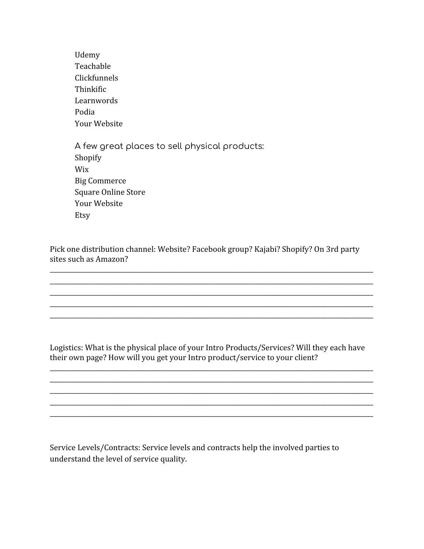Udemy Teachable Clickfunnels Thinkific Learnwords Podia Your Website A few great places to sell physical products: Shopify Wix Big Commerce Square Online Store Your Website Etsy

Pick one distribution channel: Website? Facebook group? Kajabi? Shopify? On 3rd party sites such as Amazon?

\_\_\_\_\_\_\_\_\_\_\_\_\_\_\_\_\_\_\_\_\_\_\_\_\_\_\_\_\_\_\_\_\_\_\_\_\_\_\_\_\_\_\_\_\_\_\_\_\_\_\_\_\_\_\_\_\_\_\_\_\_\_\_\_\_\_\_\_\_\_\_\_\_\_\_\_\_\_\_\_\_\_\_\_\_\_\_\_\_\_\_\_\_\_\_\_\_\_\_\_\_\_\_\_\_ \_\_\_\_\_\_\_\_\_\_\_\_\_\_\_\_\_\_\_\_\_\_\_\_\_\_\_\_\_\_\_\_\_\_\_\_\_\_\_\_\_\_\_\_\_\_\_\_\_\_\_\_\_\_\_\_\_\_\_\_\_\_\_\_\_\_\_\_\_\_\_\_\_\_\_\_\_\_\_\_\_\_\_\_\_\_\_\_\_\_\_\_\_\_\_\_\_\_\_\_\_\_\_\_\_ \_\_\_\_\_\_\_\_\_\_\_\_\_\_\_\_\_\_\_\_\_\_\_\_\_\_\_\_\_\_\_\_\_\_\_\_\_\_\_\_\_\_\_\_\_\_\_\_\_\_\_\_\_\_\_\_\_\_\_\_\_\_\_\_\_\_\_\_\_\_\_\_\_\_\_\_\_\_\_\_\_\_\_\_\_\_\_\_\_\_\_\_\_\_\_\_\_\_\_\_\_\_\_\_\_ \_\_\_\_\_\_\_\_\_\_\_\_\_\_\_\_\_\_\_\_\_\_\_\_\_\_\_\_\_\_\_\_\_\_\_\_\_\_\_\_\_\_\_\_\_\_\_\_\_\_\_\_\_\_\_\_\_\_\_\_\_\_\_\_\_\_\_\_\_\_\_\_\_\_\_\_\_\_\_\_\_\_\_\_\_\_\_\_\_\_\_\_\_\_\_\_\_\_\_\_\_\_\_\_\_ \_\_\_\_\_\_\_\_\_\_\_\_\_\_\_\_\_\_\_\_\_\_\_\_\_\_\_\_\_\_\_\_\_\_\_\_\_\_\_\_\_\_\_\_\_\_\_\_\_\_\_\_\_\_\_\_\_\_\_\_\_\_\_\_\_\_\_\_\_\_\_\_\_\_\_\_\_\_\_\_\_\_\_\_\_\_\_\_\_\_\_\_\_\_\_\_\_\_\_\_\_\_\_\_\_

Logistics: What is the physical place of your Intro Products/Services? Will they each have their own page? How will you get your Intro product/service to your client?

\_\_\_\_\_\_\_\_\_\_\_\_\_\_\_\_\_\_\_\_\_\_\_\_\_\_\_\_\_\_\_\_\_\_\_\_\_\_\_\_\_\_\_\_\_\_\_\_\_\_\_\_\_\_\_\_\_\_\_\_\_\_\_\_\_\_\_\_\_\_\_\_\_\_\_\_\_\_\_\_\_\_\_\_\_\_\_\_\_\_\_\_\_\_\_\_\_\_\_\_\_\_\_\_\_ \_\_\_\_\_\_\_\_\_\_\_\_\_\_\_\_\_\_\_\_\_\_\_\_\_\_\_\_\_\_\_\_\_\_\_\_\_\_\_\_\_\_\_\_\_\_\_\_\_\_\_\_\_\_\_\_\_\_\_\_\_\_\_\_\_\_\_\_\_\_\_\_\_\_\_\_\_\_\_\_\_\_\_\_\_\_\_\_\_\_\_\_\_\_\_\_\_\_\_\_\_\_\_\_\_ \_\_\_\_\_\_\_\_\_\_\_\_\_\_\_\_\_\_\_\_\_\_\_\_\_\_\_\_\_\_\_\_\_\_\_\_\_\_\_\_\_\_\_\_\_\_\_\_\_\_\_\_\_\_\_\_\_\_\_\_\_\_\_\_\_\_\_\_\_\_\_\_\_\_\_\_\_\_\_\_\_\_\_\_\_\_\_\_\_\_\_\_\_\_\_\_\_\_\_\_\_\_\_\_\_ \_\_\_\_\_\_\_\_\_\_\_\_\_\_\_\_\_\_\_\_\_\_\_\_\_\_\_\_\_\_\_\_\_\_\_\_\_\_\_\_\_\_\_\_\_\_\_\_\_\_\_\_\_\_\_\_\_\_\_\_\_\_\_\_\_\_\_\_\_\_\_\_\_\_\_\_\_\_\_\_\_\_\_\_\_\_\_\_\_\_\_\_\_\_\_\_\_\_\_\_\_\_\_\_\_ \_\_\_\_\_\_\_\_\_\_\_\_\_\_\_\_\_\_\_\_\_\_\_\_\_\_\_\_\_\_\_\_\_\_\_\_\_\_\_\_\_\_\_\_\_\_\_\_\_\_\_\_\_\_\_\_\_\_\_\_\_\_\_\_\_\_\_\_\_\_\_\_\_\_\_\_\_\_\_\_\_\_\_\_\_\_\_\_\_\_\_\_\_\_\_\_\_\_\_\_\_\_\_\_\_

Service Levels/Contracts: Service levels and contracts help the involved parties to understand the level of service quality.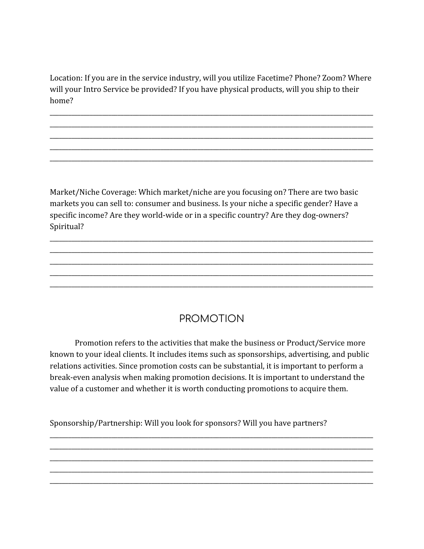Location: If you are in the service industry, will you utilize Facetime? Phone? Zoom? Where will your Intro Service be provided? If you have physical products, will you ship to their home?

\_\_\_\_\_\_\_\_\_\_\_\_\_\_\_\_\_\_\_\_\_\_\_\_\_\_\_\_\_\_\_\_\_\_\_\_\_\_\_\_\_\_\_\_\_\_\_\_\_\_\_\_\_\_\_\_\_\_\_\_\_\_\_\_\_\_\_\_\_\_\_\_\_\_\_\_\_\_\_\_\_\_\_\_\_\_\_\_\_\_\_\_\_\_\_\_\_\_\_\_\_\_\_\_\_ \_\_\_\_\_\_\_\_\_\_\_\_\_\_\_\_\_\_\_\_\_\_\_\_\_\_\_\_\_\_\_\_\_\_\_\_\_\_\_\_\_\_\_\_\_\_\_\_\_\_\_\_\_\_\_\_\_\_\_\_\_\_\_\_\_\_\_\_\_\_\_\_\_\_\_\_\_\_\_\_\_\_\_\_\_\_\_\_\_\_\_\_\_\_\_\_\_\_\_\_\_\_\_\_\_ \_\_\_\_\_\_\_\_\_\_\_\_\_\_\_\_\_\_\_\_\_\_\_\_\_\_\_\_\_\_\_\_\_\_\_\_\_\_\_\_\_\_\_\_\_\_\_\_\_\_\_\_\_\_\_\_\_\_\_\_\_\_\_\_\_\_\_\_\_\_\_\_\_\_\_\_\_\_\_\_\_\_\_\_\_\_\_\_\_\_\_\_\_\_\_\_\_\_\_\_\_\_\_\_\_ \_\_\_\_\_\_\_\_\_\_\_\_\_\_\_\_\_\_\_\_\_\_\_\_\_\_\_\_\_\_\_\_\_\_\_\_\_\_\_\_\_\_\_\_\_\_\_\_\_\_\_\_\_\_\_\_\_\_\_\_\_\_\_\_\_\_\_\_\_\_\_\_\_\_\_\_\_\_\_\_\_\_\_\_\_\_\_\_\_\_\_\_\_\_\_\_\_\_\_\_\_\_\_\_\_ \_\_\_\_\_\_\_\_\_\_\_\_\_\_\_\_\_\_\_\_\_\_\_\_\_\_\_\_\_\_\_\_\_\_\_\_\_\_\_\_\_\_\_\_\_\_\_\_\_\_\_\_\_\_\_\_\_\_\_\_\_\_\_\_\_\_\_\_\_\_\_\_\_\_\_\_\_\_\_\_\_\_\_\_\_\_\_\_\_\_\_\_\_\_\_\_\_\_\_\_\_\_\_\_\_

Market/Niche Coverage: Which market/niche are you focusing on? There are two basic markets you can sell to: consumer and business. Is your niche a specific gender? Have a specific income? Are they world-wide or in a specific country? Are they dog-owners? Spiritual?

\_\_\_\_\_\_\_\_\_\_\_\_\_\_\_\_\_\_\_\_\_\_\_\_\_\_\_\_\_\_\_\_\_\_\_\_\_\_\_\_\_\_\_\_\_\_\_\_\_\_\_\_\_\_\_\_\_\_\_\_\_\_\_\_\_\_\_\_\_\_\_\_\_\_\_\_\_\_\_\_\_\_\_\_\_\_\_\_\_\_\_\_\_\_\_\_\_\_\_\_\_\_\_\_\_ \_\_\_\_\_\_\_\_\_\_\_\_\_\_\_\_\_\_\_\_\_\_\_\_\_\_\_\_\_\_\_\_\_\_\_\_\_\_\_\_\_\_\_\_\_\_\_\_\_\_\_\_\_\_\_\_\_\_\_\_\_\_\_\_\_\_\_\_\_\_\_\_\_\_\_\_\_\_\_\_\_\_\_\_\_\_\_\_\_\_\_\_\_\_\_\_\_\_\_\_\_\_\_\_\_ \_\_\_\_\_\_\_\_\_\_\_\_\_\_\_\_\_\_\_\_\_\_\_\_\_\_\_\_\_\_\_\_\_\_\_\_\_\_\_\_\_\_\_\_\_\_\_\_\_\_\_\_\_\_\_\_\_\_\_\_\_\_\_\_\_\_\_\_\_\_\_\_\_\_\_\_\_\_\_\_\_\_\_\_\_\_\_\_\_\_\_\_\_\_\_\_\_\_\_\_\_\_\_\_\_ \_\_\_\_\_\_\_\_\_\_\_\_\_\_\_\_\_\_\_\_\_\_\_\_\_\_\_\_\_\_\_\_\_\_\_\_\_\_\_\_\_\_\_\_\_\_\_\_\_\_\_\_\_\_\_\_\_\_\_\_\_\_\_\_\_\_\_\_\_\_\_\_\_\_\_\_\_\_\_\_\_\_\_\_\_\_\_\_\_\_\_\_\_\_\_\_\_\_\_\_\_\_\_\_\_ \_\_\_\_\_\_\_\_\_\_\_\_\_\_\_\_\_\_\_\_\_\_\_\_\_\_\_\_\_\_\_\_\_\_\_\_\_\_\_\_\_\_\_\_\_\_\_\_\_\_\_\_\_\_\_\_\_\_\_\_\_\_\_\_\_\_\_\_\_\_\_\_\_\_\_\_\_\_\_\_\_\_\_\_\_\_\_\_\_\_\_\_\_\_\_\_\_\_\_\_\_\_\_\_\_

## PROMOTION

Promotion refers to the activities that make the business or Product/Service more known to your ideal clients. It includes items such as sponsorships, advertising, and public relations activities. Since promotion costs can be substantial, it is important to perform a break-even analysis when making promotion decisions. It is important to understand the value of a customer and whether it is worth conducting promotions to acquire them.

\_\_\_\_\_\_\_\_\_\_\_\_\_\_\_\_\_\_\_\_\_\_\_\_\_\_\_\_\_\_\_\_\_\_\_\_\_\_\_\_\_\_\_\_\_\_\_\_\_\_\_\_\_\_\_\_\_\_\_\_\_\_\_\_\_\_\_\_\_\_\_\_\_\_\_\_\_\_\_\_\_\_\_\_\_\_\_\_\_\_\_\_\_\_\_\_\_\_\_\_\_\_\_\_\_ \_\_\_\_\_\_\_\_\_\_\_\_\_\_\_\_\_\_\_\_\_\_\_\_\_\_\_\_\_\_\_\_\_\_\_\_\_\_\_\_\_\_\_\_\_\_\_\_\_\_\_\_\_\_\_\_\_\_\_\_\_\_\_\_\_\_\_\_\_\_\_\_\_\_\_\_\_\_\_\_\_\_\_\_\_\_\_\_\_\_\_\_\_\_\_\_\_\_\_\_\_\_\_\_\_ \_\_\_\_\_\_\_\_\_\_\_\_\_\_\_\_\_\_\_\_\_\_\_\_\_\_\_\_\_\_\_\_\_\_\_\_\_\_\_\_\_\_\_\_\_\_\_\_\_\_\_\_\_\_\_\_\_\_\_\_\_\_\_\_\_\_\_\_\_\_\_\_\_\_\_\_\_\_\_\_\_\_\_\_\_\_\_\_\_\_\_\_\_\_\_\_\_\_\_\_\_\_\_\_\_ \_\_\_\_\_\_\_\_\_\_\_\_\_\_\_\_\_\_\_\_\_\_\_\_\_\_\_\_\_\_\_\_\_\_\_\_\_\_\_\_\_\_\_\_\_\_\_\_\_\_\_\_\_\_\_\_\_\_\_\_\_\_\_\_\_\_\_\_\_\_\_\_\_\_\_\_\_\_\_\_\_\_\_\_\_\_\_\_\_\_\_\_\_\_\_\_\_\_\_\_\_\_\_\_\_ \_\_\_\_\_\_\_\_\_\_\_\_\_\_\_\_\_\_\_\_\_\_\_\_\_\_\_\_\_\_\_\_\_\_\_\_\_\_\_\_\_\_\_\_\_\_\_\_\_\_\_\_\_\_\_\_\_\_\_\_\_\_\_\_\_\_\_\_\_\_\_\_\_\_\_\_\_\_\_\_\_\_\_\_\_\_\_\_\_\_\_\_\_\_\_\_\_\_\_\_\_\_\_\_\_

Sponsorship/Partnership: Will you look for sponsors? Will you have partners?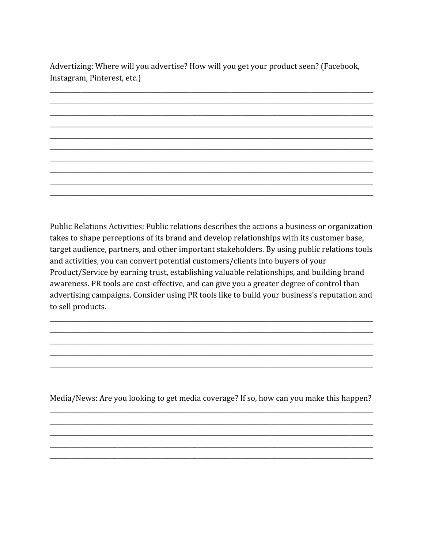Advertizing: Where will you advertise? How will you get your product seen? (Facebook, Instagram, Pinterest, etc.)

Public Relations Activities: Public relations describes the actions a business or organization takes to shape perceptions of its brand and develop relationships with its customer base, target audience, partners, and other important stakeholders. By using public relations tools and activities, you can convert potential customers/clients into buyers of your Product/Service by earning trust, establishing valuable relationships, and building brand awareness. PR tools are cost-effective, and can give you a greater degree of control than advertising campaigns. Consider using PR tools like to build your business's reputation and to sell products.

Media/News: Are you looking to get media coverage? If so, how can you make this happen?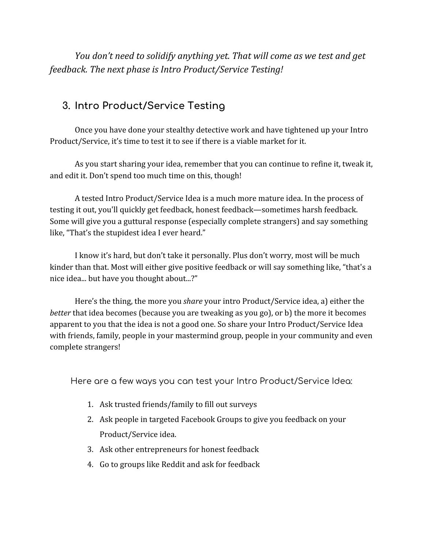*You don't need to solidify anything yet. That will come as we test and get feedback. The next phase is Intro Product/Service Testing!*

## **3. Intro Product/Service Testing**

Once you have done your stealthy detective work and have tightened up your Intro Product/Service, it's time to test it to see if there is a viable market for it.

As you start sharing your idea, remember that you can continue to refine it, tweak it, and edit it. Don't spend too much time on this, though!

A tested Intro Product/Service Idea is a much more mature idea. In the process of testing it out, you'll quickly get feedback, honest feedback—sometimes harsh feedback. Some will give you a guttural response (especially complete strangers) and say something like, "That's the stupidest idea I ever heard."

I know it's hard, but don't take it personally. Plus don't worry, most will be much kinder than that. Most will either give positive feedback or will say something like, "that's a nice idea... but have you thought about...?"

Here's the thing, the more you *share* your intro Product/Service idea, a) either the *better* that idea becomes (because you are tweaking as you go), or b) the more it becomes apparent to you that the idea is not a good one. So share your Intro Product/Service Idea with friends, family, people in your mastermind group, people in your community and even complete strangers!

Here are a few ways you can test your Intro Product/Service Idea:

- 1. Ask trusted friends/family to fill out surveys
- 2. Ask people in targeted Facebook Groups to give you feedback on your Product/Service idea.
- 3. Ask other entrepreneurs for honest feedback
- 4. Go to groups like Reddit and ask for feedback